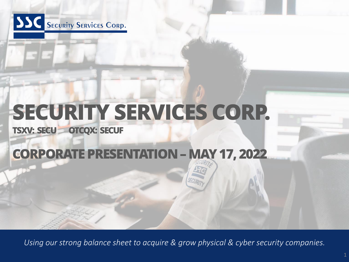

# **SECURITY SERVICES CORP.**

**TSXV: SECU OTCQX: SECUF** 

### **CORPORATE PRESENTATION –MAY 17, 2022**

*Using our strong balance sheet to acquire & grow physical & cyber security companies.*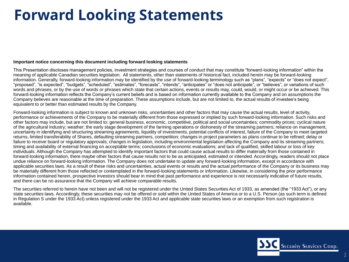### **Forward Looking Statements**

#### **Important notice concerning this document including forward looking statements**

This Presentation discloses management policies, investment strategies and courses of conduct that may constitute "forward-looking information" within the meaning of applicable Canadian securities legislation. All statements, other than statements of historical fact, included herein may be forward-looking information. Generally, forward-looking information may be identified by the use of forward-looking terminology such as "plans", "expects" or "does not expect", "proposed", "is expected", "budgets", "scheduled", "estimates", "forecasts", "intends", "anticipates" or "does not anticipate", or "believes", or variations of such words and phrases, or by the use of words or phrases which state that certain actions, events or results may, could, would, or might occur or be achieved. This forward-looking information reflects the Company's current beliefs and is based on information currently available to the Company and on assumptions the Company believes are reasonable at the time of preparation. These assumptions include, but are not limited to, the actual results of investee's being equivalent to or better than estimated results by the Company.

Forward-looking information is subject to known and unknown risks, uncertainties and other factors that may cause the actual results, level of activity, performance or achievements of the Company to be materially different from those expressed or implied by such forward-looking information. Such risks and other factors may include, but are not limited to: general business, economic, competitive, political and social uncertainties; commodity prices; cyclical nature of the agricultural industry; weather; the early stage development of the farming operations or dishonesty of the streaming partners; reliance on management, uncertainty in identifying and structuring streaming agreements, liquidity of investments, potential conflicts of interest, failure of the Company to meet targeted returns, limited transferability of Shares, defaulting streaming partners, competition; changes in project parameters as plans continue to be refined; delay or failure to receive board or regulatory approvals; changes in legislation, including environmental legislation affecting the Company and its streaming partners; timing and availability of external financing on acceptable terms; conclusions of economic evaluations; and lack of qualified, skilled labour or loss of key individuals. Although the Company has attempted to identify important factors that could cause actual results to differ materially from those contained in forward-looking information, there maybe other factors that cause results not to be as anticipated, estimated or intended. Accordingly, readers should not place undue reliance on forward-looking information. The Company does not undertake to update any forward-looking information, except in accordance with applicable securities laws. As a result of these risks and uncertainties, actual events or results and the actual performance of the Company or its business may be materially different from those reflected or contemplated in the forward-looking statements or information. Likewise, in considering the prior performance information contained herein, prospective investors should bear in mind that past performance and experience is not necessarily indicative of future results, and there can be no assurance that the Company will achieve comparable results.

The securities referred to herein have not been and will not be registered under the United States Securities Act of 1933, as amended (the "1933 Act"), or any state securities laws. Accordingly, these securities may not be offered or sold within the United States of America or to a U.S. Person (as such term is defined in Regulation S under the 1933 Act) unless registered under the 1933 Act and applicable state securities laws or an exemption from such registration is available.

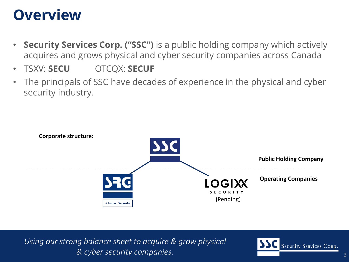### **Overview**

- **Security Services Corp. ("SSC")** is a public holding company which actively acquires and grows physical and cyber security companies across Canada
- TSXV: **SECU** OTCQX: **SECUF**
- The principals of SSC have decades of experience in the physical and cyber security industry.



*Using our strong balance sheet to acquire & grow physical BDIC* SECURITY COMPANIES.

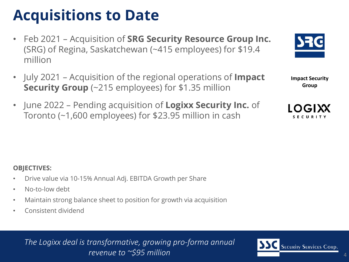### **Acquisitions to Date**

- Feb 2021 Acquisition of **SRG Security Resource Group Inc.**  (SRG) of Regina, Saskatchewan (~415 employees) for \$19.4 million
- July 2021 Acquisition of the regional operations of **Impact Security Group** (~215 employees) for \$1.35 million
- June 2022 Pending acquisition of **Logixx Security Inc.** of Toronto (~1,600 employees) for \$23.95 million in cash



**Impact Security Group**



### **OBJECTIVES:**

- Drive value via 10-15% Annual Adj. EBITDA Growth per Share
- No-to-low debt
- Maintain strong balance sheet to position for growth via acquisition
- Consistent dividend

*The Logixx deal is transformative, growing pro-forma annual*  revenue to ~\$95 million

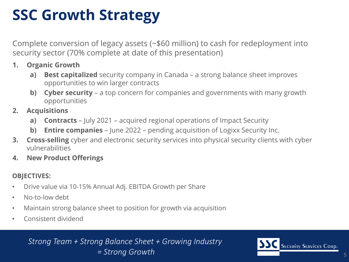# **SSC Growth Strategy**

Complete conversion of legacy assets (~\$60 million) to cash for redeployment into security sector (70% complete at date of this presentation)

- **1. Organic Growth**
	- **a) Best capitalized** security company in Canada a strong balance sheet improves opportunities to win larger contracts
	- **b) Cyber security** a top concern for companies and governments with many growth opportunities
- **2. Acquisitions**
	- **a) Contracts** July 2021 acquired regional operations of Impact Security
	- **b) Entire companies**  June 2022 pending acquisition of Logixx Security Inc.
- **3. Cross-selling** cyber and electronic security services into physical security clients with cyber vulnerabilities
- **4. New Product Offerings**

### **OBJECTIVES:**

- Drive value via 10-15% Annual Adj. EBITDA Growth per Share
- No-to-low debt
- Maintain strong balance sheet to position for growth via acquisition
- Consistent dividend

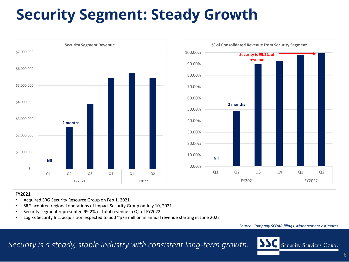# **Security Segment: Steady Growth**



#### **FY2021**

- Acquired SRG Security Resource Group on Feb 1, 2021
- SRG acquired regional operations of Impact Security Group on July 10, 2021
- Security segment represented 99.2% of total revenue in Q2 of FY2022.
- Logixx Security Inc. acquisition expected to add ~\$75 million in annual revenue starting in June 2022

*Source: Company SEDAR filings, Management estimates*

*Security is a steady, stable industry with consistent long-term growth.*

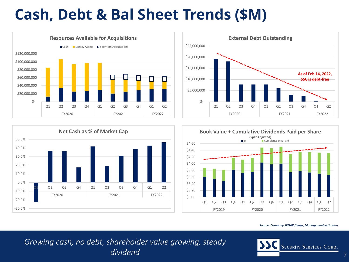# **Cash, Debt & Bal Sheet Trends (\$M)**









*Source: Company SEDAR filings, Management estimates*

*Growing cash, no debt, shareholder value growing, steady dividend* <sup>7</sup>

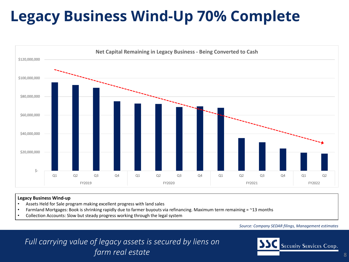# **Legacy Business Wind-Up 70% Complete**



#### **Legacy Business Wind-up**

- Assets Held for Sale program making excellent progress with land sales
- Farmland Mortgages: Book is shrinking rapidly due to farmer buyouts via refinancing. Maximum term remaining  $=$  ~13 months
- Collection Accounts: Slow but steady progress working through the legal system

#### *Source: Company SEDAR filings, Management estimates*

*Full carrying value of legacy assets is secured by liens on farm real estate*

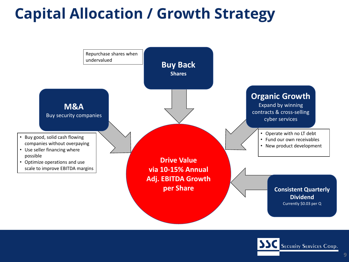# **Capital Allocation / Growth Strategy**



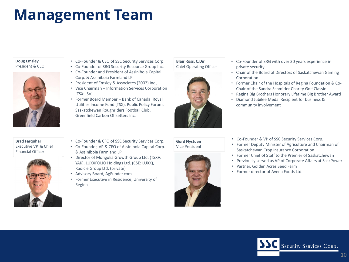### **Management Team**

#### **Doug Emsley** President & CEO



#### **Brad Farquhar** Executive VP & Chief Financial Officer



- Co-Founder & CEO of SSC Security Services Corp.
- Co-Founder of SRG Security Resource Group Inc. • Co-Founder and President of Assiniboia Capital Corp. & Assiniboia Farmland LP
- President of Emsley & Associates (2002) Inc.,
- Vice Chairman Information Services Corporation (TSX: ISV)
- Former Board Member Bank of Canada, Royal Utilities Income Fund (TSX), Public Policy Forum, Saskatchewan Roughriders Football Club, Greenfield Carbon Offsetters Inc.

#### **Blair Ross, C.Dir** Chief Operating Officer



- Co-Founder of SRG with over 30 years experience in private security
- Chair of the Board of Directors of Saskatchewan Gaming Corporation
- Former Chair of the Hospitals of Regina Foundation & Co-Chair of the Sandra Schmirler Charity Golf Classic
- Regina Big Brothers Honorary Lifetime Big Brother Award
- Diamond Jubilee Medal Recipient for business & community involvement

- Co-Founder & CFO of SSC Security Services Corp.
- Co-Founder, VP & CFO of Assiniboia Capital Corp. & Assiniboia Farmland LP
- Director of Mongolia Growth Group Ltd. (TSXV: YAK), LUXXFOLIO Holdings Ltd. (CSE: LUXX), Radicle Group Ltd. (private)
- Advisory Board, AgFunder.com
- Former Executive in Residence, University of Regina

#### **Gord Nystuen** Vice President



- Co-Founder & VP of SSC Security Services Corp.
- Former Deputy Minister of Agriculture and Chairman of Saskatchewan Crop Insurance Corporation
- Former Chief of Staff to the Premier of Saskatchewan
- Previously served as VP of Corporate Affairs at SaskPower
- Partner, Golden Acres Seed Farm
- Former director of Avena Foods Ltd.

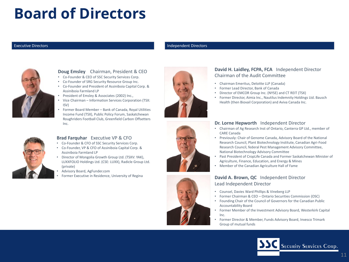### **Board of Directors**

#### Executive Directors

#### Independent Directors



#### **Doug Emsley** Chairman, President & CEO

- Co-Founder & CEO of SSC Security Services Corp.
- Co-Founder of SRG Security Resource Group Inc.
- Co-Founder and President of Assiniboia Capital Corp. & Assiniboia Farmland LP
- President of Emsley & Associates (2002) Inc.,
- Vice Chairman Information Services Corporation (TSX: ISV)
- Former Board Member Bank of Canada, Royal Utilities Income Fund (TSX), Public Policy Forum, Saskatchewan Roughriders Football Club, Greenfield Carbon Offsetters Inc.



#### **Brad Farquhar** Executive VP & CFO

- Co-Founder & CFO of SSC Security Services Corp.
- Co-Founder, VP & CFO of Assiniboia Capital Corp. & Assiniboia Farmland LP
- Director of Mongolia Growth Group Ltd. (TSXV: YAK), LUXXFOLIO Holdings Ltd. (CSE: LUXX), Radicle Group Ltd. (private)
- Advisory Board, AgFunder.com
- Former Executive in Residence, University of Regina



#### **David H. Laidley, FCPA, FCA** Independent Director Chairman of the Audit Committee

- Chairman Emeritus, Deloitte LLP (Canada)
- Former Lead Director, Bank of Canada
- Director of EMCOR Group Inc. (NYSE) and CT REIT (TSX)
- Former Director, Aimia Inc., Nautilus Indemnity Holdings Ltd. Bausch Health (then Biovail Corporation) and Aviva Canada Inc.

#### **Dr. Lorne Hepworth** Independent Director

- Chairman of Ag Research Inst of Ontario, Canterra GP Ltd., member of CARE Canada
- Previously: Chair of Genome Canada, Advisory Board of the National Research Council, Plant Biotechnology Institute, Canadian Agri-Food Research Council, federal Pest Management Advisory Committee, National Biotechnology Advisory Committee
- Past President of CropLife Canada and Former Saskatchewan Minister of Agriculture, Finance, Education, and Energy & Mines
- Member of the Canadian Agriculture Hall of Fame

#### **David A. Brown, QC** Independent Director Lead Independent Director

- Counsel, Davies Ward Phillips & Vineberg LLP
- Former Chairman & CEO Ontario Securities Commission (OSC)
- Founding Chair of the Council of Governors for the Canadian Public Accountability Board
- Former Member of the Investment Advisory Board, Westerkirk Capital Inc.
- Former Director & Member, Funds Advisory Board, Invesco Trimark Group of mutual funds





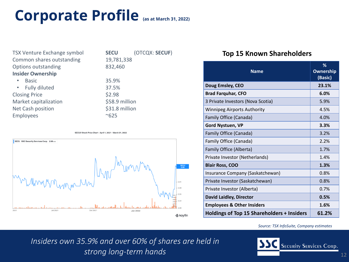### **Corporate Profile (as at March 31, 2022)**

| <b>TSX Venture Exchange symbol</b> | <b>SECU</b>    |
|------------------------------------|----------------|
| Common shares outstanding          | 19,781,338     |
| <b>Options outstanding</b>         | 832,460        |
| <b>Insider Ownership</b>           |                |
| <b>Basic</b>                       | 35.9%          |
| • Fully diluted                    | 37.5%          |
| <b>Closing Price</b>               | \$2.98         |
| <b>Market capitalization</b>       | \$58.9 million |
| <b>Net Cash position</b>           | \$31.8 million |
| <b>Employees</b>                   | ~625           |
|                                    |                |

(OTCQX: **SECUF**)





### **Top 15 Known Shareholders**

| <b>Name</b>                                       | %<br><b>Ownership</b><br>(Basic) |
|---------------------------------------------------|----------------------------------|
| Doug Emsley, CEO                                  | 23.1%                            |
| <b>Brad Farquhar, CFO</b>                         | 6.0%                             |
| 3 Private Investors (Nova Scotia)                 | 5.9%                             |
| <b>Winnipeg Airports Authority</b>                | 4.5%                             |
| <b>Family Office (Canada)</b>                     | 4.0%                             |
| <b>Gord Nystuen, VP</b>                           | 3.3%                             |
| <b>Family Office (Canada)</b>                     | 3.2%                             |
| <b>Family Office (Canada)</b>                     | 2.2%                             |
| <b>Family Office (Alberta)</b>                    | 1.7%                             |
| Private Investor (Netherlands)                    | 1.4%                             |
| <b>Blair Ross, COO</b>                            | 1.3%                             |
| Insurance Company (Saskatchewan)                  | 0.8%                             |
| Private Investor (Saskatchewan)                   | 0.8%                             |
| Private Investor (Alberta)                        | 0.7%                             |
| <b>David Laidley, Director</b>                    | 0.5%                             |
| <b>Employees &amp; Other Insiders</b>             | 1.6%                             |
| <b>Holdings of Top 15 Shareholders + Insiders</b> | 61.2%                            |

#### *Source: TSX InfoSuite, Company estimates*

*Insiders own 35.9% and over 60% of shares are held in strong long-term hands* (12) and 12 and 12 and 12 and 12 and 12 and 12 and 12 and 12 and 12 and 12 and 12 and 12 and 12 and 12 and 12 and 12 and 12 and 12 and 12 and 12 and 12 and 12 and 12 and 12 and 12 and 12 and 12 and

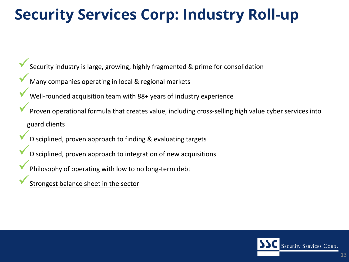### **Security Services Corp: Industry Roll-up**

Security industry is large, growing, highly fragmented & prime for consolidation

- Many companies operating in local & regional markets
- Well-rounded acquisition team with 88+ years of industry experience
- Proven operational formula that creates value, including cross-selling high value cyber services into guard clients
	- Disciplined, proven approach to finding & evaluating targets
- Disciplined, proven approach to integration of new acquisitions
- Philosophy of operating with low to no long-term debt
- Strongest balance sheet in the sector